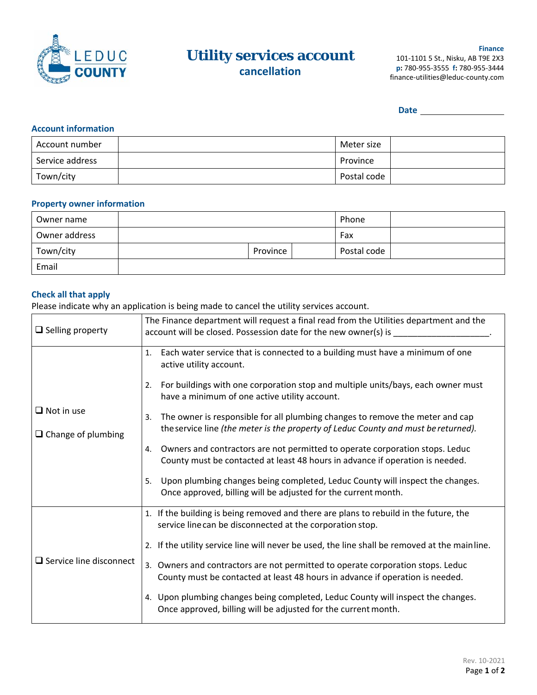

# **Utility services account cancellation**

**Finance**  101‐1101 5 St., Nisku, AB T9E 2X3 **p:** 780‐955‐3555 **f:** 780‐955‐3444 finance‐utilities@leduc‐county.com

**Date** 

# **Account information**

| Account number  | Meter size  |  |
|-----------------|-------------|--|
| Service address | Province    |  |
| Town/city       | Postal code |  |

### **Property owner information**

| Owner name    |  |          | Phone       |  |
|---------------|--|----------|-------------|--|
| Owner address |  |          | Fax         |  |
| Town/city     |  | Province | Postal code |  |
| Email         |  |          |             |  |

## **Check all that apply**

Please indicate why an application is being made to cancel the utility services account.

| $\Box$ Selling property                        | The Finance department will request a final read from the Utilities department and the<br>account will be closed. Possession date for the new owner(s) is _               |  |  |  |  |
|------------------------------------------------|---------------------------------------------------------------------------------------------------------------------------------------------------------------------------|--|--|--|--|
|                                                | Each water service that is connected to a building must have a minimum of one<br>1.<br>active utility account.                                                            |  |  |  |  |
|                                                | For buildings with one corporation stop and multiple units/bays, each owner must<br>2.<br>have a minimum of one active utility account.                                   |  |  |  |  |
| $\Box$ Not in use<br>$\Box$ Change of plumbing | The owner is responsible for all plumbing changes to remove the meter and cap<br>3.<br>the service line (the meter is the property of Leduc County and must be returned). |  |  |  |  |
|                                                | Owners and contractors are not permitted to operate corporation stops. Leduc<br>4.<br>County must be contacted at least 48 hours in advance if operation is needed.       |  |  |  |  |
|                                                | Upon plumbing changes being completed, Leduc County will inspect the changes.<br>5.<br>Once approved, billing will be adjusted for the current month.                     |  |  |  |  |
|                                                | 1. If the building is being removed and there are plans to rebuild in the future, the<br>service line can be disconnected at the corporation stop.                        |  |  |  |  |
|                                                | 2. If the utility service line will never be used, the line shall be removed at the mainline.                                                                             |  |  |  |  |
| $\Box$ Service line disconnect                 | 3. Owners and contractors are not permitted to operate corporation stops. Leduc<br>County must be contacted at least 48 hours in advance if operation is needed.          |  |  |  |  |
|                                                | 4. Upon plumbing changes being completed, Leduc County will inspect the changes.<br>Once approved, billing will be adjusted for the current month.                        |  |  |  |  |